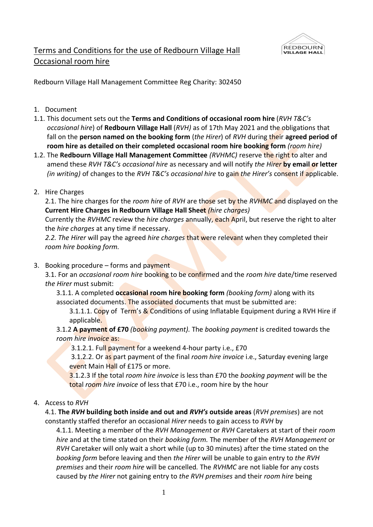

# Terms and Conditions for the use of Redbourn Village Hall Occasional room hire

Redbourn Village Hall Management Committee Reg Charity: 302450

- 1. Document
- 1.1. This document sets out the **Terms and Conditions of occasional room hire** (*RVH T&C's occasional hire*) of **Redbourn Village Hall** (*RVH)* as of 17th May 2021 and the obligations that fall on the **person named on the booking form** (*the Hirer*) of *RVH* during their **agreed period of room hire as detailed on their completed occasional room hire booking form** *(room hire)*
- 1.2. The **Redbourn Village Hall Management Committee** *(RVHMC)* reserve the right to alter and amend these *RVH T&C's occasional hire* as necessary and will notify *the Hirer* **by email or letter** *(in writing)* of changes to the *RVH T&C's occasional hire* to gain *the Hirer's* consent if applicable.
- 2. Hire Charges

2.1. The hire charges for the *room hire* of *RVH* are those set by the *RVHMC* and displayed on the **Current Hire Charges in Redbourn Village Hall Sheet** *(hire charges)*

Currently the *RVHMC* review the *hire charges* annually, each April, but reserve the right to alter the *hire charges* at any time if necessary.

*2.2. The Hirer* will pay the agreed *hire charges* that were relevant when they completed their *room hire booking form.* 

3. Booking procedure – forms and payment

3.1. For an *occasional room hire* booking to be confirmed and the *room hire* date/time reserved *the Hirer* must submit:

3.1.1. A completed **occasional room hire booking form** *(booking form)* along with its associated documents. The associated documents that must be submitted are:

3.1.1.1. Copy of Term's & Conditions of using Inflatable Equipment during a RVH Hire if applicable.

3.1.2 **A payment of £70** *(booking payment).* The *booking payment* is credited towards the *room hire invoice* as:

3.1.2.1. Full payment for a weekend 4-hour party i.e., £70

3.1.2.2. Or as part payment of the final *room hire invoice* i.e., Saturday evening large event Main Hall of £175 or more.

3.1.2.3 If the total *room hire invoice* is less than £70 the *booking payment* will be the total *room hire invoice* of less that £70 i.e., room hire by the hour

4. Access to *RVH*

4.1. **The** *RVH* **building both inside and out and** *RVH's* **outside areas** (*RVH premises*) are not constantly staffed therefor an occasional *Hirer* needs to gain access to *RVH* by

4.1.1. Meeting a member of the *RVH Management* or *RVH* Caretakers at start of their *room hire* and at the time stated on their *booking form.* The member of the *RVH Management* or *RVH* Caretaker will only wait a short while (up to 30 minutes) after the time stated on the *booking form* before leaving and then *the Hirer* will be unable to gain entry to *the RVH premises* and their *room hire* will be cancelled*.* The *RVHMC* are not liable for any costs caused by *the Hirer* not gaining entry to *the RVH premises* and their *room hire* being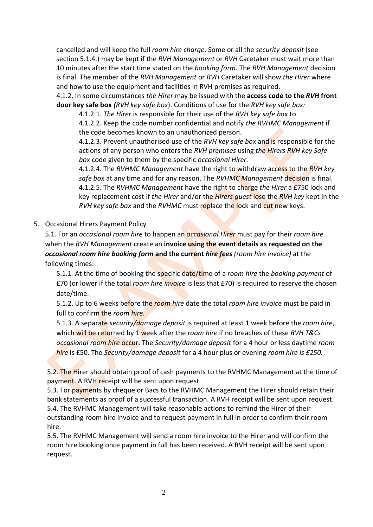cancelled and will keep the full *room hire charge*. Some or all the *security deposit* (see section 5.1.4.) may be kept if the *RVH Management* or *RVH* Caretaker must wait more than 10 minutes after the start time stated on the *booking form.* The *RVH Management* decision is final. The member of the *RVH Management* or *RVH* Caretaker will show *the Hirer* where and how to use the equipment and facilities in RVH premises as required.

4.1.2. In some circumstances *the Hirer* may be issued with the **access code to the** *RVH* **front door key safe box** *(RVH key safe box*). Conditions of use for the *RVH key safe box:*

4.1.2.1. *The Hirer* is responsible for their use of the *RVH key safe box* to

4.1.2.2. Keep the code number confidential and notify *the RVHMC Management* if the code becomes known to an unauthorized person.

4.1.2.3. Prevent unauthorised use of the *RVH key safe box* and is responsible for the actions of any person who enters the *RVH premises* using *the Hirers RVH key Safe box* code given to them by the specific *occasional Hirer.*

4.1.2.4. The *RVHMC Management* have the right to withdraw access to the *RVH key safe box* at any time and for any reason. The *RVHMC Management* decision is final. 4.1.2.5. The *RVHMC Management* have the right to charge *the Hirer* a £750 lock and key replacement cost if *the Hirer* and/or the *Hirers guest* lose the *RVH key* kept in the *RVH key safe box* and the *RVHMC* must replace the lock and cut new keys.

5. Occasional Hirers Payment Policy

5.1. For an *occasional room hire* to happen an *occasional Hirer* must pay for their *room hire* when the *RVH Management* create an **invoice using the event details as requested on the**  *occasional room hire booking form* **and the current** *hire fees (room hire invoice)* at the following times:

5.1.1*.* At the time of booking the specific date/time of a *room hire* the *booking payment* of £70 (or lower if the total *room hire invoice* is less that £70) is required to reserve the chosen date/time.

5.1.2. Up to 6 weeks before the *room hire* date the total *room hire invoice* must be paid in full to confirm the *room hire.*

5.1.3. A separate *security/damage deposit* is required at least 1 week before the *room hire*, which will be returned by 1 week after the *room hire* if no breaches of these *RVH T&Cs occasional room hire* occur. The *Security/damage deposit* for a 4 hour or less daytime *room hire* is £50. The *Security/damage deposit* for a 4 hour plus or evening *room hire is £250.* 

5.2. The Hirer should obtain proof of cash payments to the RVHMC Management at the time of payment. A RVH receipt will be sent upon request.

5.3. For payments by cheque or Bacs to the RVHMC Management the Hirer should retain their bank statements as proof of a successful transaction. A RVH receipt will be sent upon request. 5.4. The RVHMC Management will take reasonable actions to remind the Hirer of their outstanding room hire invoice and to request payment in full in order to confirm their room hire.

5.5. The RVHMC Management will send a room hire invoice to the Hirer and will confirm the room hire booking once payment in full has been received. A RVH receipt will be sent upon request.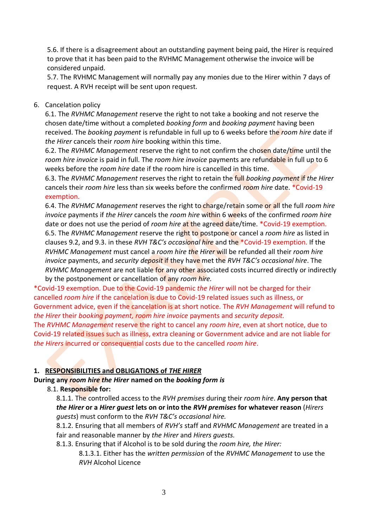5.6. If there is a disagreement about an outstanding payment being paid, the Hirer is required to prove that it has been paid to the RVHMC Management otherwise the invoice will be considered unpaid.

5.7. The RVHMC Management will normally pay any monies due to the Hirer within 7 days of request. A RVH receipt will be sent upon request.

#### 6. Cancelation policy

6.1. The *RVHMC Management* reserve the right to not take a booking and not reserve the chosen date/time without a completed *booking form* and *booking payment* having been received. The *booking payment* is refundable in full up to 6 weeks before the *room hire* date if *the Hirer* cancels their *room hire* booking within this time.

6.2. The *RVHMC Management* reserve the right to not confirm the chosen date/time until the *room hire invoice* is paid in full. The *room hire invoice* payments are refundable in full up to 6 weeks before the *room hire* date if the room hire is cancelled in this time.

6.3. The *RVHMC Management* reserves the right to retain the full *booking payment* if *the Hirer* cancels their *room hire* less than six weeks before the confirmed *room hire* date. \*Covid-19 exemption.

6.4. The *RVHMC Management* reserves the right to charge/retain some or all the full *room hire invoice* payments if *the Hirer* cancels the *room hire* within 6 weeks of the confirmed *room hire* date or does not use the period of *room hire* at the agreed date/time. \*Covid-19 exemption. 6.5. The *RVHMC Management* reserve the right to postpone or cancel a *room hire* as listed in clauses 9.2, and 9.3. in these *RVH T&C's occasional hire* and the \*Covid-19 exemption. If the *RVHMC Management* must cancel a *room hire the Hirer* will be refunded all their *room hire invoice* payments, and *security deposit* if they have met the *RVH T&C's occasional hire*. The *RVHMC Management* are not liable for any other associated costs incurred directly or indirectly by the postponement or cancellation of any *room hire.*

\*Covid-19 exemption. Due to the Covid-19 pandemic *the Hirer* will not be charged for their cancelled *room hire* if the cancelation is due to Covid-19 related issues such as illness, or Government advice, even if the cancelation is at short notice. The *RVH Management* will refund to *the Hirer* their *booking payment, room hire invoice* payments and *security deposit.* The *RVHMC Management* reserve the right to cancel any *room hire*, even at short notice, due to Covid-19 related issues such as illness, extra cleaning or Government advice and are not liable for *the Hirers* incurred or consequential costs due to the cancelled *room hire*.

## **1. RESPONSIBILITIES and OBLIGATIONS of** *THE HIRER*

**During any** *room hire the Hirer* **named on the** *booking form is*

#### 8.1. **Responsible for:**

8.1.1. The controlled access to the *RVH premises* during their *room hire*. **Any person that**  *the Hirer* **or a** *Hirer guest* **lets on or into the** *RVH premises* **for whatever reason** (*Hirers guests*) must conform to the *RVH T&C's occasional hire.*

8.1.2. Ensuring that all members of *RVH's* staff and *RVHMC Management* are treated in a fair and reasonable manner by *the Hirer* and *Hirers guests.* 

8.1.3. Ensuring that if Alcohol is to be sold during the *room hire, the Hirer:*

8.1.3.1. Either has the *written permission* of the *RVHMC Management* to use the *RVH* Alcohol Licence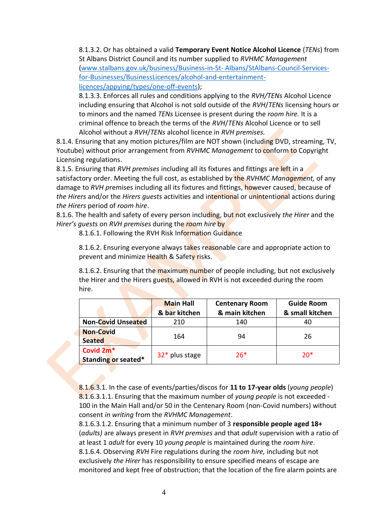8.1.3.2. Or has obtained a valid **Temporary Event Notice Alcohol Licence** (*TENs*) from St Albans District Council and its number supplied to *RVHMC Management* [\(www.stalbans.gov.uk/business/Business-in-St-](http://www.stalbans.gov.uk/business/Business-in-St-Albans/StAlbans-Council-Services-for-Businesses/BusinessLicences/alcohol-and-entertainment-licences/appying/types/one-off-events) Albans/StAlbans-Council-Services[for-Businesses/BusinessLicences/alcohol-and-entertainment](http://www.stalbans.gov.uk/business/Business-in-St-Albans/StAlbans-Council-Services-for-Businesses/BusinessLicences/alcohol-and-entertainment-licences/appying/types/one-off-events)[licences/appying/types/one-off-events\)](http://www.stalbans.gov.uk/business/Business-in-St-Albans/StAlbans-Council-Services-for-Businesses/BusinessLicences/alcohol-and-entertainment-licences/appying/types/one-off-events);

8.1.3.3. Enforces all rules and conditions applying to the *RVH/TENs* Alcohol Licence including ensuring that Alcohol is not sold outside of the *RVH*/*TENs* licensing hours or to minors and the named *TENs* Licensee is present during the *room hire.* It is a criminal offence to breach the terms of the *RVH*/*TENs* Alcohol Licence or to sell Alcohol without a *RVH*/*TENs* alcohol licence in *RVH premises.* 

8.1.4. Ensuring that any motion pictures/film are NOT shown (including DVD, streaming, TV, Youtube) without prior arrangement from *RVHMC Management* to conform to Copyright Licensing regulations.

8.1.5. Ensuring that *RVH premises* including all its fixtures and fittings are left in a satisfactory order. Meeting the full cost, as established by the *RVHMC Management,* of any damage to *RVH p*remises including all its fixtures and fittings, however caused, because of *the Hirers* and/or the *Hirers guests* activities and intentional or unintentional actions during *the Hirers* period of *room hire*.

8.1.6. The health and safety of every person including, but not exclusively *the Hirer* and the *Hirer's guests* on *RVH premises* during the *room hire* by

8.1.6.1. Following the RVH Risk Information Guidance

8.1.6.2. Ensuring everyone always takes reasonable care and appropriate action to prevent and minimize Health & Safety risks.

8.1.6.2. Ensuring that the maximum number of people including, but not exclusively the Hirer and the Hirers guests, allowed in RVH is not exceeded during the room hire.

|                                              | <b>Main Hall</b><br>& bar kitchen | <b>Centenary Room</b><br>& main kitchen | <b>Guide Room</b><br>& small kitchen |
|----------------------------------------------|-----------------------------------|-----------------------------------------|--------------------------------------|
| <b>Non-Covid Unseated</b>                    | 210                               | 140                                     | 40                                   |
| <b>Non-Covid</b><br><b>Seated</b>            | 164                               | 94                                      | 26                                   |
| Covid 2m <sup>*</sup><br>Standing or seated* | $32*$ plus stage                  | $26*$                                   | $20*$                                |

8.1.6.3.1. In the case of events/parties/discos for **11 to 17-year olds** (*young people*) 8.1.6.3.1.1. Ensuring that the maximum number of *young people* is not exceeded - 100 in the Main Hall and/or 50 in the Centenary Room (non-Covid numbers) without consent *in writing* from the *RVHMC Management*.

8.1.6.3.1.2. Ensuring that a minimum number of 3 **responsible people aged 18+** (*adults)* are always present in *RVH premises* and that *adult* supervision with a ratio of at least 1 *adult* for every 10 *young people* is maintained during the *room hire*. 8.1.6.4. Observing *RVH* Fire regulations during the *room hire,* including but not exclusively *the Hirer* has responsibility to ensure specified means of escape are monitored and kept free of obstruction; that the location of the fire alarm points are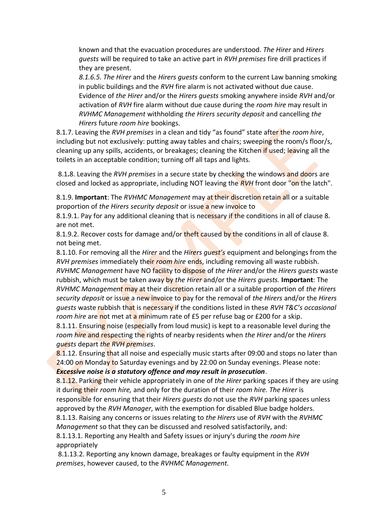known and that the evacuation procedures are understood. *The Hirer* and *Hirers guests* will be required to take an active part in *RVH premises* fire drill practices if they are present.

*8.1.6.5. The Hirer* and the *Hirers guests* conform to the current Law banning smoking in public buildings and the *RVH* fire alarm is not activated without due cause. Evidence of *the Hirer* and/or the *Hirers guests* smoking anywhere inside *RVH* and/or activation of *RVH* fire alarm without due cause during the *room hire* may result in *RVHMC Management* withholding *the Hirers security deposit* and cancelling *the Hirers* future *room hire* bookings*.*

8.1.7. Leaving the *RVH premises* in a clean and tidy "as found" state after the *room hire*, including but not exclusively: putting away tables and chairs; sweeping the room/s floor/s, cleaning up any spills, accidents, or breakages; cleaning the Kitchen if used; leaving all the toilets in an acceptable condition; turning off all taps and lights.

8.1**.**8. Leaving the *RVH premises* in a secure state by checking the windows and doors are closed and locked as appropriate, including NOT leaving the *RVH* front door "on the latch".

8.1.9. **Important**: The *RVHMC Management* may at their discretion retain all or a suitable proportion of *the Hirers security deposit* or issue a new invoice to

8.1.9.1. Pay for any additional cleaning that is necessary if the conditions in all of clause 8. are not met.

8.1.9.2. Recover costs for damage and/or theft caused by the conditions in all of clause 8. not being met.

8.1.10. For removing all the *Hirer* and the *Hirers guest's* equipment and belongings from the *RVH premises* immediately their *room hire* ends, including removing all waste rubbish. *RVHMC Management* have NO facility to dispose of *the Hirer* and/or the *Hirers guests* waste rubbish, which must be taken away by *the Hirer* and/or the *Hirers guests.* **Important**: The *RVHMC Management* may at their discretion retain all or a suitable proportion of *the Hirers security deposit* or issue a new invoice to pay for the removal of *the Hirers* and/or the *Hirers guests* waste rubbish that is necessary if the conditions listed in these *RVH T&C's occasional room hire* are not met at a minimum rate of £5 per refuse bag or £200 for a skip.

8.1.11. Ensuring noise (especially from loud music) is kept to a reasonable level during the *room hire* and respecting the rights of nearby residents when *the Hirer* and/or the *Hirers guests* depart *the RVH premises*.

8.1.12. Ensuring that all noise and especially music starts after 09:00 and stops no later than 24:00 on Monday to Saturday evenings and by 22:00 on Sunday evenings. Please note:

#### *Excessive noise is a statutory offence and may result in prosecution*.

8.1.12. Parking their vehicle appropriately in one of *the Hirer* parking spaces if they are using it during their *room hire,* and only for the duration of their *room hire. The Hirer* is responsible for ensuring that their *Hirers guests* do not use the *RVH* parking spaces unless approved by the *RVH Manager*, with the exemption for disabled Blue badge holders.

8.1.13. Raising any concerns or issues relating to *the Hirers* use of *RVH* with the *RVHMC Management* so that they can be discussed and resolved satisfactorily, and:

8.1.13.1. Reporting any Health and Safety issues or injury's during the *room hire* appropriately

8.1.13.2. Reporting any known damage, breakages or faulty equipment in the *RVH premises*, however caused, to the *RVHMC Management.*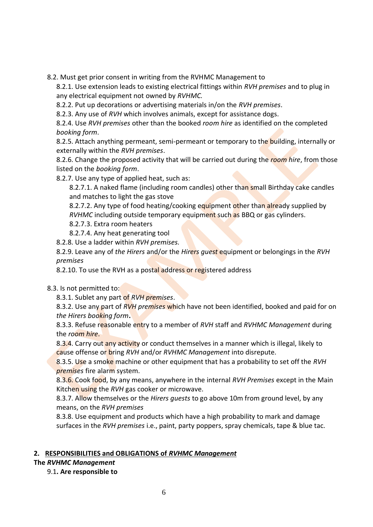8.2. Must get prior consent in writing from the RVHMC Management to

8.2.1. Use extension leads to existing electrical fittings within *RVH premises* and to plug in any electrical equipment not owned by *RVHMC.*

8.2.2. Put up decorations or advertising materials in/on the *RVH premises*.

8.2.3. Any use of *RVH* which involves animals, except for assistance dogs.

8.2.4. Use *RVH premises* other than the booked *room hire* as identified on the completed *booking form*.

8.2.5. Attach anything permeant, semi-permeant or temporary to the building, internally or externally within the *RVH premises*.

8.2.6. Change the proposed activity that will be carried out during the *room hire*, from those listed on the *booking form*.

8.2.7. Use any type of applied heat, such as:

8.2.7.1. A naked flame (including room candles) other than small Birthday cake candles and matches to light the gas stove

8.2.7.2. Any type of food heating/cooking equipment other than already supplied by *RVHMC* including outside temporary equipment such as BBQ or gas cylinders.

8.2.7.3. Extra room heaters

8.2.7.4. Any heat generating tool

8.2.8. Use a ladder within *RVH premises.*

8.2.9. Leave any of *the Hirers* and/or the *Hirers guest* equipment or belongings in the *RVH premises*

8.2.10. To use the RVH as a postal address or registered address

8.3. Is not permitted to:

8.3.1. Sublet any part of *RVH premises*.

8.3.2. Use any part of *RVH premises* which have not been identified, booked and paid for on *the Hirers booking form***.**

8.3.3. Refuse reasonable entry to a member of *RVH* staff and *RVHMC Management* during the *room hire*.

8.3.4. Carry out any activity or conduct themselves in a manner which is illegal, likely to cause offense or bring *RVH* and/or *RVHMC Management* into disrepute.

8.3.5. Use a smoke machine or other equipment that has a probability to set off the *RVH premises* fire alarm system.

8.3.6. Cook food, by any means, anywhere in the internal *RVH Premises* except in the Main Kitchen using the *RVH* gas cooker or microwave.

8.3.7. Allow themselves or the *Hirers guests* to go above 10m from ground level, by any means, on the *RVH premises*

8.3.8. Use equipment and products which have a high probability to mark and damage surfaces in the *RVH premises* i.e., paint, party poppers, spray chemicals, tape & blue tac.

## **2. RESPONSIBILITIES and OBLIGATIONS of** *RVHMC Management*

**The** *RVHMC Management* 

9.1**. Are responsible to**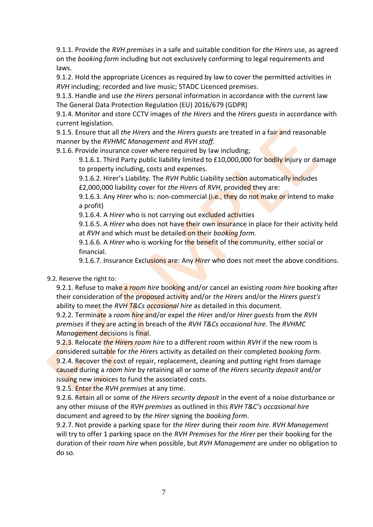9.1.1. Provide the *RVH premises* in a safe and suitable condition for *the Hirers* use, as agreed on the *booking form* including but not exclusively conforming to legal requirements and laws.

9.1.2. Hold the appropriate Licences as required by law to cover the permitted activities in *RVH* including; recorded and live music; STADC Licenced premises.

9.1.3. Handle and use *the Hirers* personal information in accordance with the current law The General Data Protection Regulation (EU) 2016/679 (GDPR)

9.1.4. Monitor and store CCTV images of *the Hirers* and the *Hirers guests* in accordance with current legislation.

9.1.5. Ensure that all *the Hirers* and the *Hirers guests* are treated in a fair and reasonable manner by the *RVHMC Management* and *RVH staff*.

9.1.6. Provide insurance cover where required by law including;

9.1.6.1. Third Party public liability limited to £10,000,000 for bodily injury or damage to property including, costs and expenses.

9.1.6.2. Hirer's Liability. The *RVH* Public Liability section automatically includes £2,000,000 liability cover for *the Hirers* of *RVH*, provided they are:

9.1.6.3. Any *Hirer* who is: non-commercial (i.e., they do not make or intend to make a profit)

9.1.6.4. A *Hirer* who is not carrying out excluded activities

9.1.6.5. A *Hirer* who does not have their own insurance in place for their activity held at *RVH* and which must be detailed on their *booking form.*

9.1.6.6. A *Hirer* who is working for the benefit of the community, either social or financial.

9.1.6.7. Insurance Exclusions are: Any *Hirer* who does not meet the above conditions.

9.2. Reserve the right to:

9.2.1. Refuse to make a *room hire* booking and/or cancel an existing *room hire* booking after their consideration of the proposed activity and/or *the Hirers* and/or the *Hirers guest's* ability to meet the *RVH T&Cs occasional hire* as detailed in this document.

9.2.2. Terminate a *room hire* and/or expel *the Hire*r and/or *Hirer guests* from the *RVH premises* if they are acting in breach of the *RVH T&Cs occasional hire.* The *RVHMC Management* decisions is final.

9.2.3. Relocate *the Hirers room hire* to a different room within *RVH* if the new room is considered suitable for *the Hirers* activity as detailed on their completed *booking form.* 9.2.4. Recover the cost of repair, replacement, cleaning and putting right from damage caused during a *room hire* by retaining all or some of *the Hirers security deposit* and/or issuing new invoices to fund the associated costs.

9.2.5. Enter the *RVH premises* at any time.

9.2.6. Retain all or some of *the Hirers security deposit* in the event of a noise disturbance or any other misuse of the *RVH premises* as outlined in this *RVH T&C's occasional hire* document and agreed to by *the Hirer* signing the *booking form*.

9.2.7. Not provide a parking space for *the Hirer* during their *room hire. RVH Management*  will try to offer 1 parking space on the *RVH Premises* for *the Hirer* per their booking for the duration of their *room hire* when possible, but *RVH Management* are under no obligation to do so.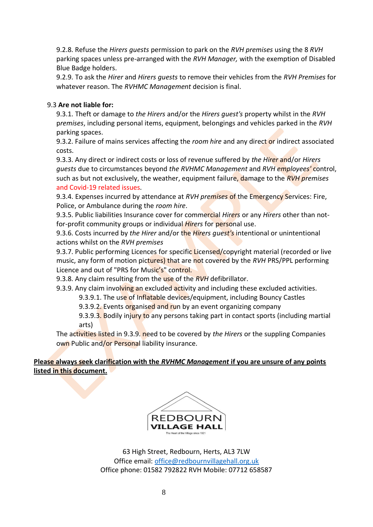9.2.8. Refuse the *Hirers guests* permission to park on the *RVH premises* using the 8 *RVH* parking spaces unless pre-arranged with the *RVH Manager,* with the exemption of Disabled Blue Badge holders.

9.2.9. To ask the *Hirer* and *Hirers guests* to remove their vehicles from the *RVH Premises* for whatever reason. The *RVHMC Management* decision is final.

### 9.3 **Are not liable for:**

9.3.1. Theft or damage to *the Hirers* and/or the *Hirers guest's* property whilst in the *RVH* p*remises*, including personal items, equipment, belongings and vehicles parked in the *RVH*  parking spaces.

9.3.2. Failure of mains services affecting the *room hire* and any direct or indirect associated costs.

9.3.3. Any direct or indirect costs or loss of revenue suffered by *the Hirer* and/or *Hirers guests* due to circumstances beyond *the RVHMC Management* and *RVH employees'* control, such as but not exclusively, the weather, equipment failure, damage to the *RVH premises* and Covid-19 related issues*.*

9.3.4. Expenses incurred by attendance at *RVH premises* of the Emergency Services: Fire, Police, or Ambulance during the *room hire*.

9.3.5. Public liabilities Insurance cover for commercial *Hirers* or any *Hirers* other than notfor-profit community groups or individual *Hirers* for personal use.

9.3.6. Costs incurred by *the Hirer* and/or the *Hirers guest's* intentional or unintentional actions whilst on the *RVH premises*

9.3.7. Public performing Licences for specific Licensed/copyright material (recorded or live music, any form of motion pictures) that are not covered by the *RVH* PRS/PPL performing Licence and out of "PRS for Music's" control.

9.3.8. Any claim resulting from the use of the *RVH* defibrillator.

9.3.9. Any claim involving an excluded activity and including these excluded activities.

9.3.9.1. The use of Inflatable devices/equipment, including Bouncy Castles

9.3.9.2. Events organised and run by an event organizing company

9.3.9.3. Bodily injury to any persons taking part in contact sports (including martial arts)

The activities listed in 9.3.9. need to be covered by *the Hirers* or the suppling Companies own Public and/or Personal liability insurance.

**Please always seek clarification with the** *RVHMC Management* **if you are unsure of any points listed in this document.**



63 High Street, Redbourn, Herts, AL3 7LW Office email[: office@redbournvillagehall.org.uk](mailto:office@redbournvillagehall.org.uk) Office phone: 01582 792822 RVH Mobile: 07712 658587